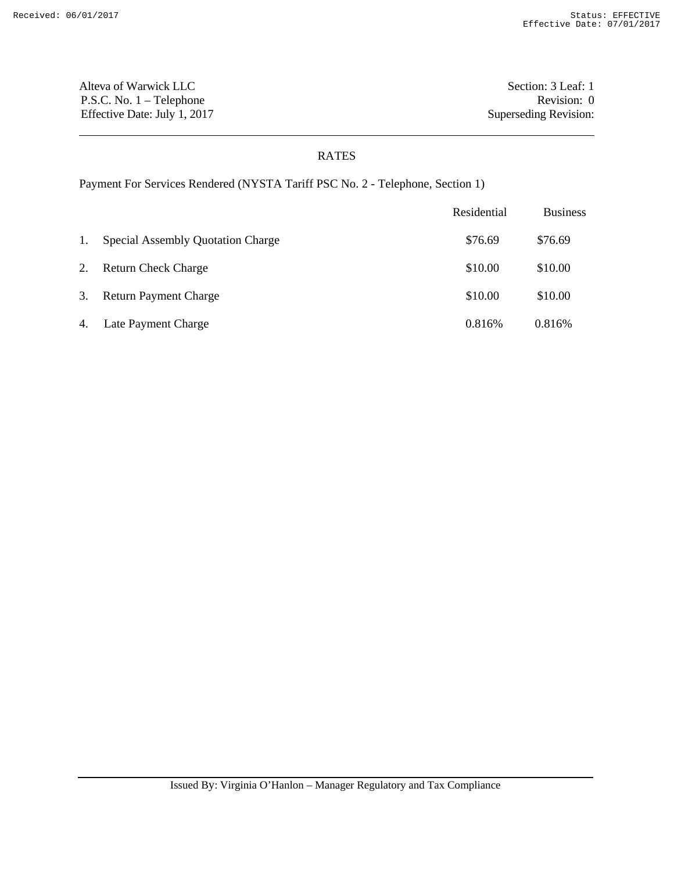Alteva of Warwick LLC Section: 3 Leaf: 1 P.S.C. No. 1 – Telephone Revision: 0 Effective Date: July 1, 2017 Superseding Revision:

## RATES

Payment For Services Rendered (NYSTA Tariff PSC No. 2 - Telephone, Section 1)

|    |                                   | Residential | <b>Business</b> |
|----|-----------------------------------|-------------|-----------------|
| 1. | Special Assembly Quotation Charge | \$76.69     | \$76.69         |
| 2. | <b>Return Check Charge</b>        | \$10.00     | \$10.00         |
| 3. | <b>Return Payment Charge</b>      | \$10.00     | \$10.00         |
| 4. | Late Payment Charge               | 0.816%      | 0.816%          |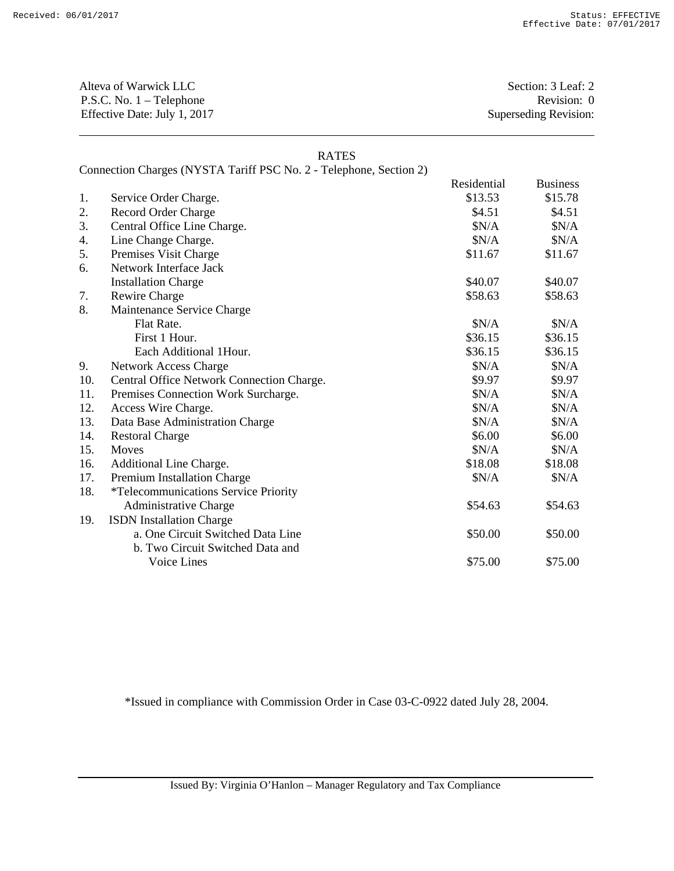Alteva of Warwick LLC Section: 3 Leaf: 2 P.S.C. No. 1 – Telephone Revision: 0 Effective Date: July 1, 2017 Superseding Revision:

## RATES

Connection Charges (NYSTA Tariff PSC No. 2 - Telephone, Section 2)

|     |                                             | Residential | <b>Business</b> |
|-----|---------------------------------------------|-------------|-----------------|
| 1.  | Service Order Charge.                       | \$13.53     | \$15.78         |
| 2.  | Record Order Charge                         | \$4.51      | \$4.51          |
| 3.  | Central Office Line Charge.                 | \$N/A       | \$N/A           |
| 4.  | Line Change Charge.                         | \$N/A       | \$N/A           |
| 5.  | Premises Visit Charge                       | \$11.67     | \$11.67         |
| 6.  | Network Interface Jack                      |             |                 |
|     | <b>Installation Charge</b>                  | \$40.07     | \$40.07         |
| 7.  | Rewire Charge                               | \$58.63     | \$58.63         |
| 8.  | Maintenance Service Charge                  |             |                 |
|     | Flat Rate.                                  | \$N/A       | \$N/A           |
|     | First 1 Hour.                               | \$36.15     | \$36.15         |
|     | Each Additional 1Hour.                      | \$36.15     | \$36.15         |
| 9.  | <b>Network Access Charge</b>                | \$N/A       | \$N/A           |
| 10. | Central Office Network Connection Charge.   | \$9.97      | \$9.97          |
| 11. | Premises Connection Work Surcharge.         | \$N/A       | \$N/A           |
| 12. | Access Wire Charge.                         | \$N/A       | \$N/A           |
| 13. | Data Base Administration Charge             | \$N/A       | \$N/A           |
| 14. | <b>Restoral Charge</b>                      | \$6.00      | \$6.00          |
| 15. | Moves                                       | \$N/A       | \$N/A           |
| 16. | Additional Line Charge.                     | \$18.08     | \$18.08         |
| 17. | Premium Installation Charge                 | \$N/A       | \$N/A           |
| 18. | <i>*Telecommunications Service Priority</i> |             |                 |
|     | Administrative Charge                       | \$54.63     | \$54.63         |
| 19. | <b>ISDN</b> Installation Charge             |             |                 |
|     | a. One Circuit Switched Data Line           | \$50.00     | \$50.00         |
|     | b. Two Circuit Switched Data and            |             |                 |
|     | <b>Voice Lines</b>                          | \$75.00     | \$75.00         |

\*Issued in compliance with Commission Order in Case 03-C-0922 dated July 28, 2004.

Issued By: Virginia O'Hanlon – Manager Regulatory and Tax Compliance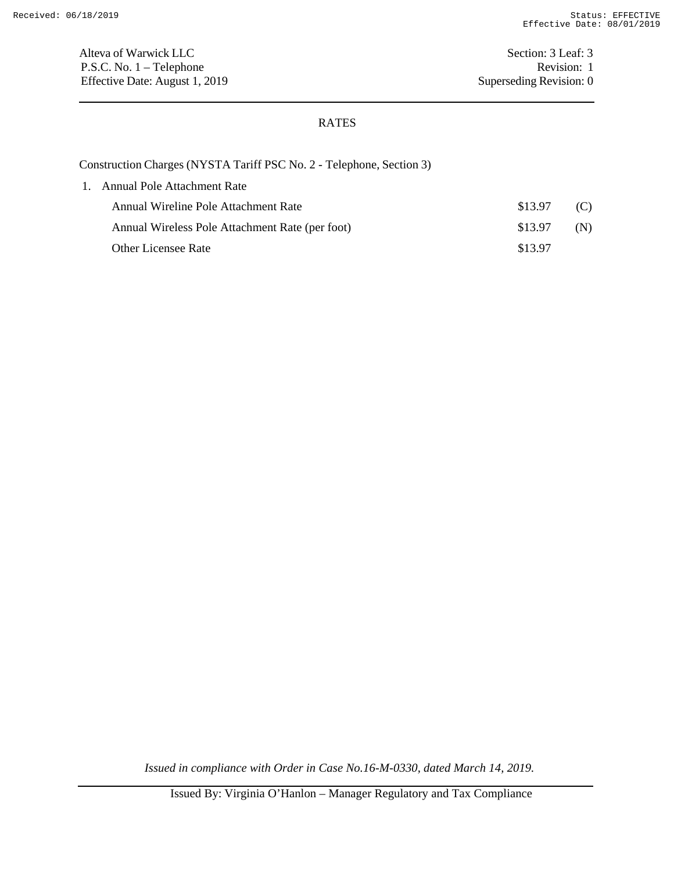Alteva of Warwick LLC Section: 3 Leaf: 3 P.S.C. No. 1 – Telephone Revision: 1 Effective Date: August 1, 2019 Superseding Revision: 0

## RATES

Construction Charges (NYSTA Tariff PSC No. 2 - Telephone, Section 3)

| 1. Annual Pole Attachment Rate                  |         |     |
|-------------------------------------------------|---------|-----|
| Annual Wireline Pole Attachment Rate            | \$13.97 | (C) |
| Annual Wireless Pole Attachment Rate (per foot) | \$13.97 | (N) |
| <b>Other Licensee Rate</b>                      | \$13.97 |     |

*Issued in compliance with Order in Case No.16-M-0330, dated March 14, 2019.*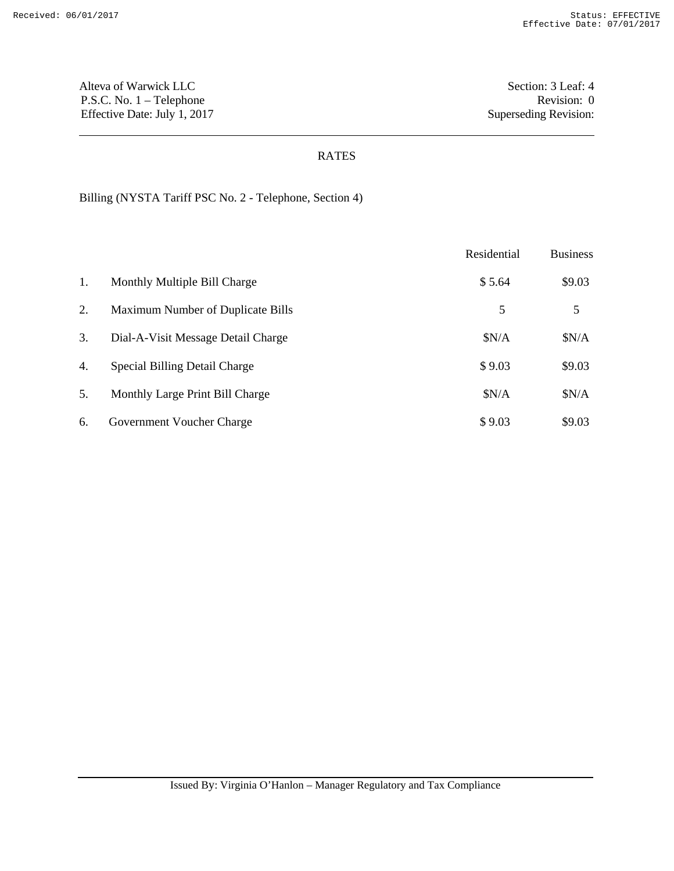Alteva of Warwick LLC Section: 3 Leaf: 4 P.S.C. No. 1 – Telephone Revision: 0 Effective Date: July 1, 2017 Superseding Revision:

## RATES

Billing (NYSTA Tariff PSC No. 2 - Telephone, Section 4)

|    |                                    | Residential | <b>Business</b> |
|----|------------------------------------|-------------|-----------------|
| 1. | Monthly Multiple Bill Charge       | \$5.64      | \$9.03          |
| 2. | Maximum Number of Duplicate Bills  | 5           | 5               |
| 3. | Dial-A-Visit Message Detail Charge | \$N/A       | \$N/A           |
| 4. | Special Billing Detail Charge      | \$9.03      | \$9.03          |
| 5. | Monthly Large Print Bill Charge    | \$N/A       | \$N/A           |
| 6. | Government Voucher Charge          | \$9.03      | \$9.03          |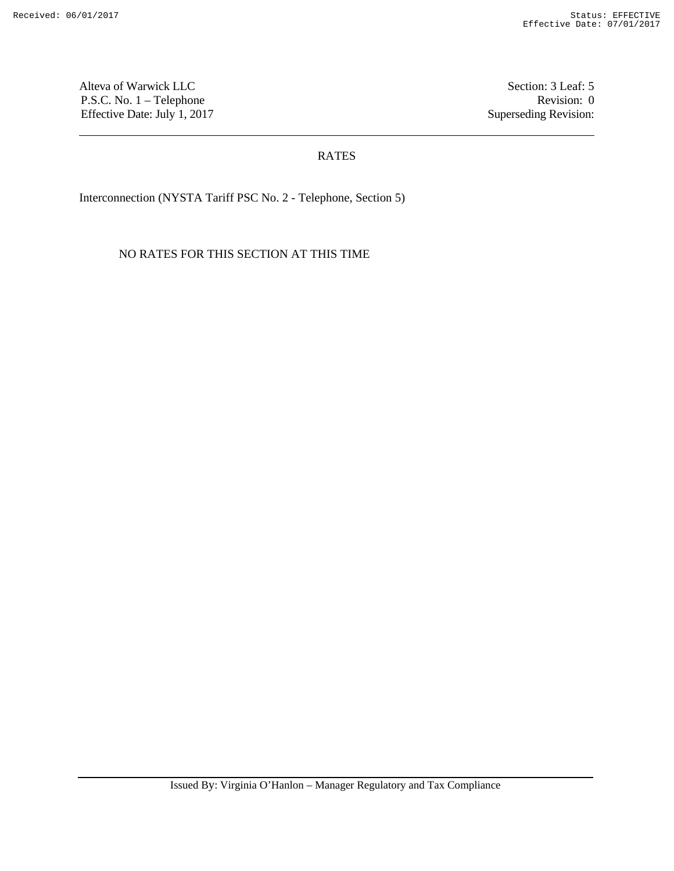Alteva of Warwick LLC Section: 3 Leaf: 5 P.S.C. No. 1 – Telephone Revision: 0 Effective Date: July 1, 2017 Superseding Revision:

## RATES

Interconnection (NYSTA Tariff PSC No. 2 - Telephone, Section 5)

NO RATES FOR THIS SECTION AT THIS TIME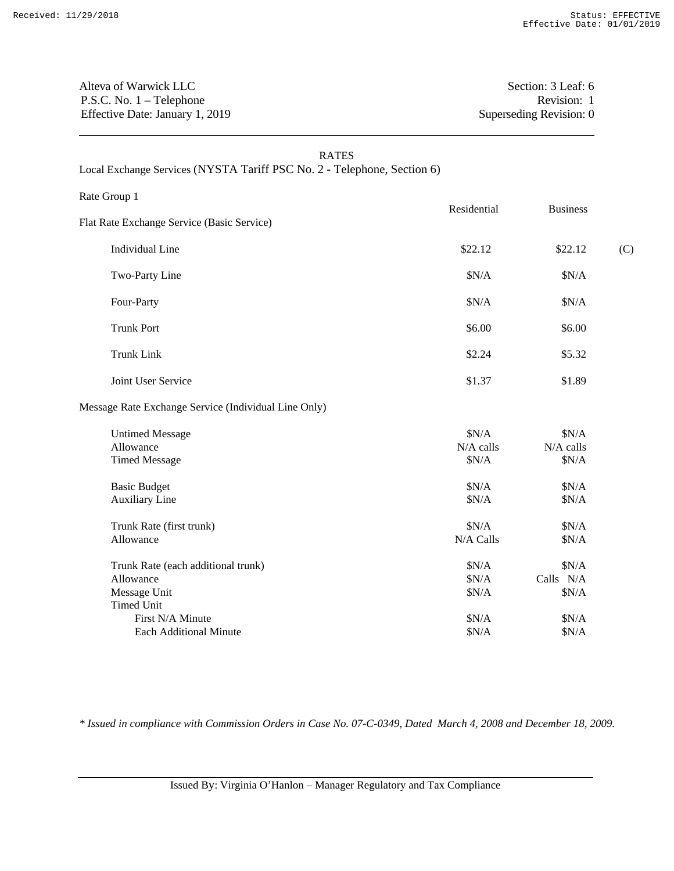## Alteva of Warwick LLC Section: 3 Leaf: 6 P.S.C. No. 1 – Telephone Revision: 1 Effective Date: January 1, 2019 Superseding Revision: 0

| <b>RATES</b><br>Local Exchange Services (NYSTA Tariff PSC No. 2 - Telephone, Section 6) |                             |                                       |     |
|-----------------------------------------------------------------------------------------|-----------------------------|---------------------------------------|-----|
| Rate Group 1                                                                            |                             |                                       |     |
| Flat Rate Exchange Service (Basic Service)                                              | Residential                 | <b>Business</b>                       |     |
| <b>Individual Line</b>                                                                  | \$22.12                     | \$22.12                               | (C) |
| Two-Party Line                                                                          | \$N/A                       | \$N/A                                 |     |
| Four-Party                                                                              | \$N/A                       | \$N/A                                 |     |
| <b>Trunk Port</b>                                                                       | \$6.00                      | \$6.00                                |     |
| <b>Trunk Link</b>                                                                       | \$2.24                      | \$5.32                                |     |
| Joint User Service                                                                      | \$1.37                      | \$1.89                                |     |
| Message Rate Exchange Service (Individual Line Only)                                    |                             |                                       |     |
| <b>Untimed Message</b><br>Allowance<br><b>Timed Message</b>                             | \$N/A<br>N/A calls<br>\$N/A | \$N/A<br>N/A calls<br>\$N/A           |     |
| <b>Basic Budget</b><br><b>Auxiliary Line</b>                                            | \$N/A<br>\$N/A              | \$N/A<br>\$N/A                        |     |
| Trunk Rate (first trunk)<br>Allowance                                                   | \$N/A<br>N/A Calls          | \$N/A<br>\$N/A                        |     |
| Trunk Rate (each additional trunk)<br>Allowance<br>Message Unit<br><b>Timed Unit</b>    | \$N/A<br>\$N/A<br>\$N/A     | \$N/A<br>Calls $\,$ N/A $\,$<br>\$N/A |     |
| First N/A Minute                                                                        | \$N/A                       | \$N/A                                 |     |

*\* Issued in compliance with Commission Orders in Case No. 07-C-0349, Dated March 4, 2008 and December 18, 2009.*

Each Additional Minute  $$N/A$  \$N/A \$N/A

Issued By: Virginia O'Hanlon – Manager Regulatory and Tax Compliance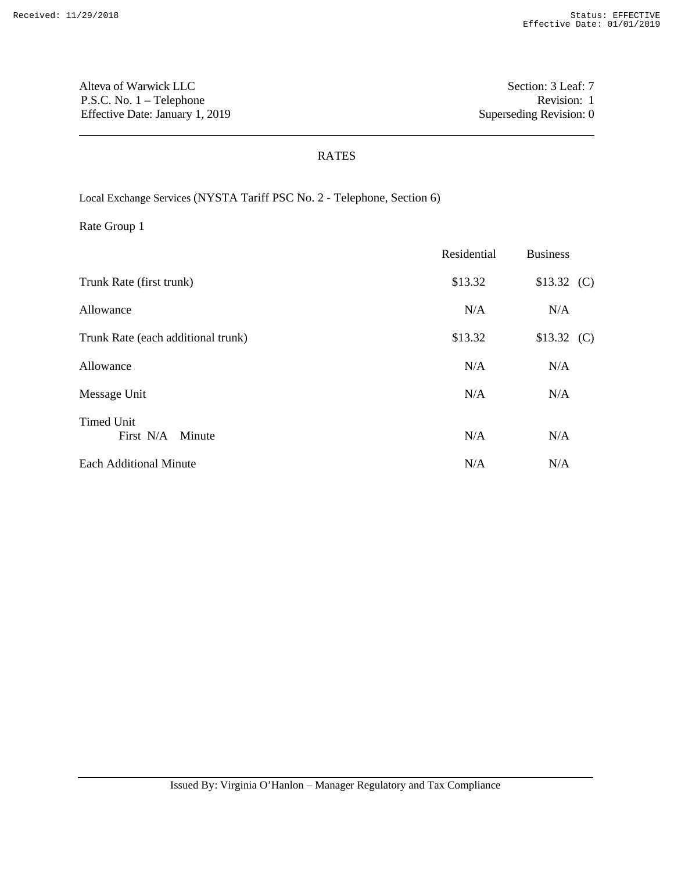Alteva of Warwick LLC Section: 3 Leaf: 7 P.S.C. No. 1 – Telephone Revision: 1 Effective Date: January 1, 2019 Superseding Revision: 0

## RATES

Local Exchange Services (NYSTA Tariff PSC No. 2 - Telephone, Section 6)

|                                          | Residential | <b>Business</b> |  |
|------------------------------------------|-------------|-----------------|--|
| Trunk Rate (first trunk)                 | \$13.32     | \$13.32(C)      |  |
| Allowance                                | N/A         | N/A             |  |
| Trunk Rate (each additional trunk)       | \$13.32     | \$13.32(C)      |  |
| Allowance                                | N/A         | N/A             |  |
| Message Unit                             | N/A         | N/A             |  |
| <b>Timed Unit</b><br>First N/A<br>Minute | N/A         | N/A             |  |
| <b>Each Additional Minute</b>            | N/A         | N/A             |  |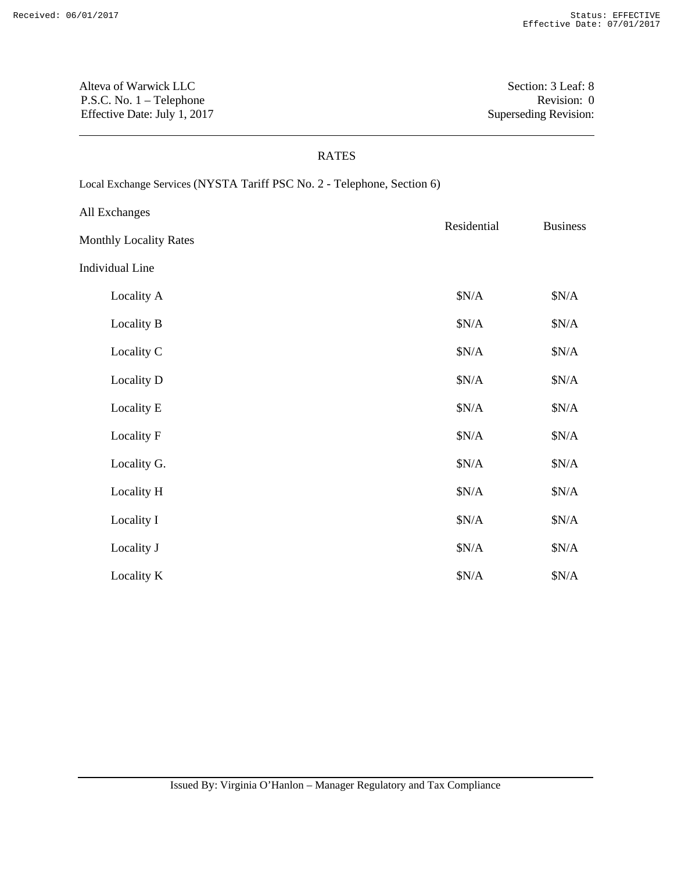Alteva of Warwick LLC Section: 3 Leaf: 8 P.S.C. No. 1 – Telephone Revision: 0 Effective Date: July 1, 2017 Superseding Revision:

#### RATES

Local Exchange Services (NYSTA Tariff PSC No. 2 - Telephone, Section 6)

| All Exchanges                 | Residential | <b>Business</b> |  |
|-------------------------------|-------------|-----------------|--|
| <b>Monthly Locality Rates</b> |             |                 |  |
| <b>Individual Line</b>        |             |                 |  |
| Locality A                    | N/A         | \$N/A           |  |
| Locality B                    | N/A         | \$N/A           |  |
| Locality C                    | N/A         | \$N/A           |  |
| Locality D                    | N/A         | \$N/A           |  |
| Locality E                    | N/A         | \$N/A           |  |
| Locality F                    | N/A         | N/A             |  |
| Locality G.                   | N/A         | \$N/A           |  |
| Locality H                    | \$N/A       | \$N/A           |  |
| Locality I                    | N/A         | N/A             |  |
| Locality J                    | N/A         | \$N/A           |  |
| Locality K                    | \$N/A       | \$N/A           |  |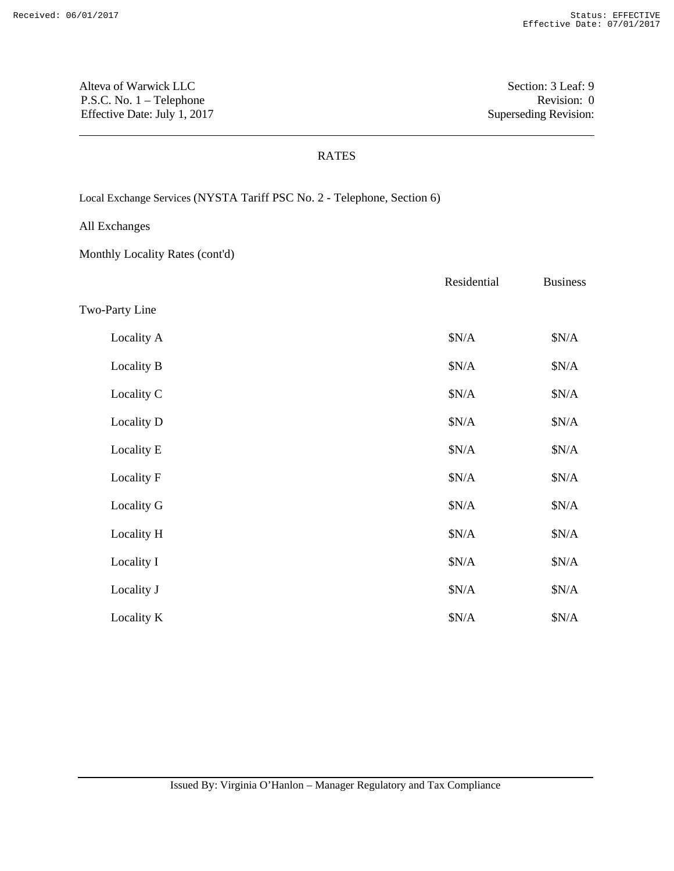Alteva of Warwick LLC Section: 3 Leaf: 9 P.S.C. No. 1 – Telephone Revision: 0 Effective Date: July 1, 2017 Superseding Revision:

#### RATES

Local Exchange Services (NYSTA Tariff PSC No. 2 - Telephone, Section 6)

All Exchanges

Monthly Locality Rates (cont'd)

|                | Residential | <b>Business</b> |
|----------------|-------------|-----------------|
| Two-Party Line |             |                 |
| Locality A     | \$N/A       | \$N/A           |
| Locality B     | \$N/A       | \$N/A           |
| Locality C     | \$N/A       | \$N/A           |
| Locality D     | \$N/A       | \$N/A           |
| Locality E     | \$N/A       | \$N/A           |
| Locality F     | \$N/A       | \$N/A           |
| Locality G     | \$N/A       | \$N/A           |
| Locality H     | \$N/A       | \$N/A           |
| Locality I     | \$N/A       | \$N/A           |
| Locality J     | \$N/A       | \$N/A           |
| Locality K     | \$N/A       | \$N/A           |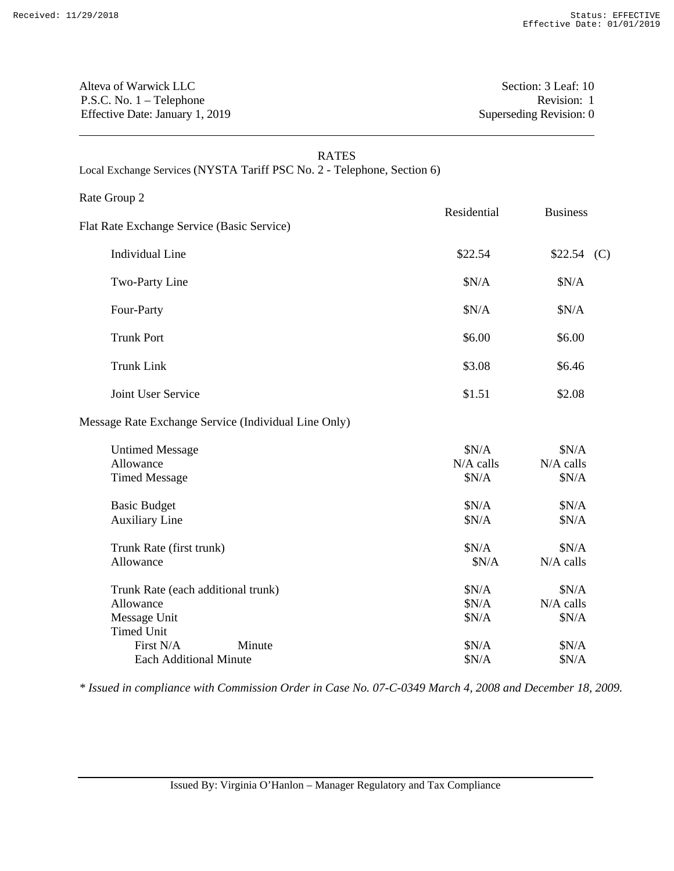Alteva of Warwick LLC Section: 3 Leaf: 10 P.S.C. No. 1 – Telephone Revision: 1 Effective Date: January 1, 2019 Superseding Revision: 0

| <b>RATES</b><br>Local Exchange Services (NYSTA Tariff PSC No. 2 - Telephone, Section 6) |                               |                               |  |
|-----------------------------------------------------------------------------------------|-------------------------------|-------------------------------|--|
| Rate Group 2<br>Flat Rate Exchange Service (Basic Service)                              | Residential                   | <b>Business</b>               |  |
| <b>Individual Line</b>                                                                  | \$22.54                       | $$22.54$ (C)                  |  |
| Two-Party Line                                                                          | \$N/A                         | \$N/A                         |  |
| Four-Party                                                                              | \$N/A                         | \$N/A                         |  |
| <b>Trunk Port</b>                                                                       | \$6.00                        | \$6.00                        |  |
| <b>Trunk Link</b>                                                                       | \$3.08                        | \$6.46                        |  |
| Joint User Service                                                                      | \$1.51                        | \$2.08                        |  |
| Message Rate Exchange Service (Individual Line Only)                                    |                               |                               |  |
| <b>Untimed Message</b><br>Allowance<br><b>Timed Message</b>                             | \$N/A<br>$N/A$ calls<br>\$N/A | \$N/A<br>$N/A$ calls<br>\$N/A |  |
| <b>Basic Budget</b><br><b>Auxiliary Line</b>                                            | \$N/A<br>\$N/A                | \$N/A<br>\$N/A                |  |
| Trunk Rate (first trunk)<br>Allowance                                                   | \$N/A<br>\$N/A                | N/A<br>$N/A$ calls            |  |

| Trunk Rate (each additional trunk) |        | \$N/A | SN/A        |
|------------------------------------|--------|-------|-------------|
| Allowance                          |        | \$N/A | $N/A$ calls |
| Message Unit                       |        | \$N/A | \$N/A       |
| Timed Unit                         |        |       |             |
| First N/A                          | Minute | SN/A  | SN/A        |
| Each Additional Minute             |        | SN/A  | SN/A        |

*\* Issued in compliance with Commission Order in Case No. 07-C-0349 March 4, 2008 and December 18, 2009.*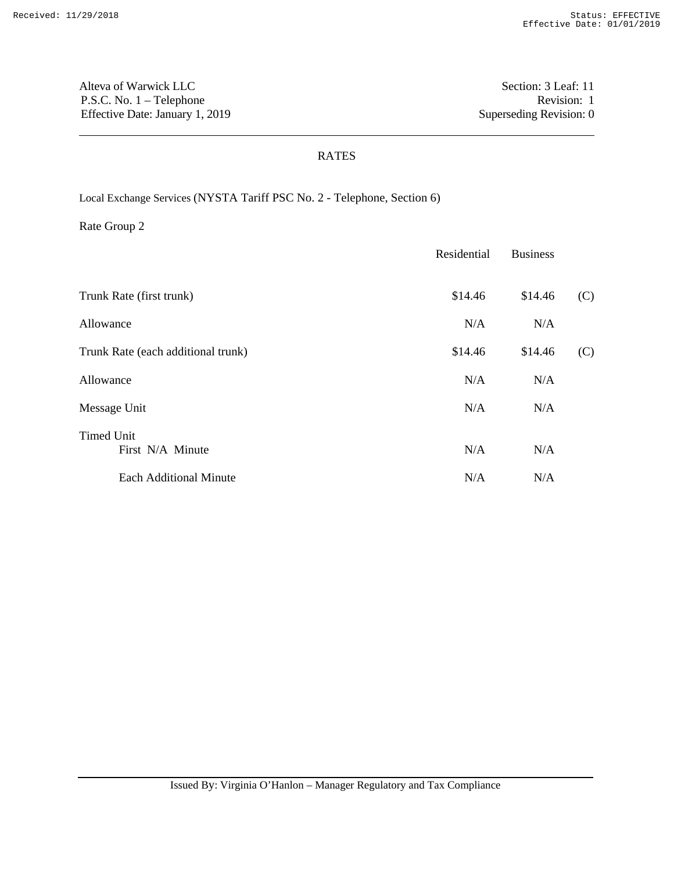Alteva of Warwick LLC Section: 3 Leaf: 11 P.S.C. No. 1 – Telephone Revision: 1 Effective Date: January 1, 2019 Superseding Revision: 0

### RATES

Local Exchange Services (NYSTA Tariff PSC No. 2 - Telephone, Section 6)

|                                       | Residential | <b>Business</b> |     |
|---------------------------------------|-------------|-----------------|-----|
| Trunk Rate (first trunk)              | \$14.46     | \$14.46         | (C) |
| Allowance                             | N/A         | N/A             |     |
| Trunk Rate (each additional trunk)    | \$14.46     | \$14.46         | (C) |
| Allowance                             | N/A         | N/A             |     |
| Message Unit                          | N/A         | N/A             |     |
| <b>Timed Unit</b><br>First N/A Minute | N/A         | N/A             |     |
| <b>Each Additional Minute</b>         | N/A         | N/A             |     |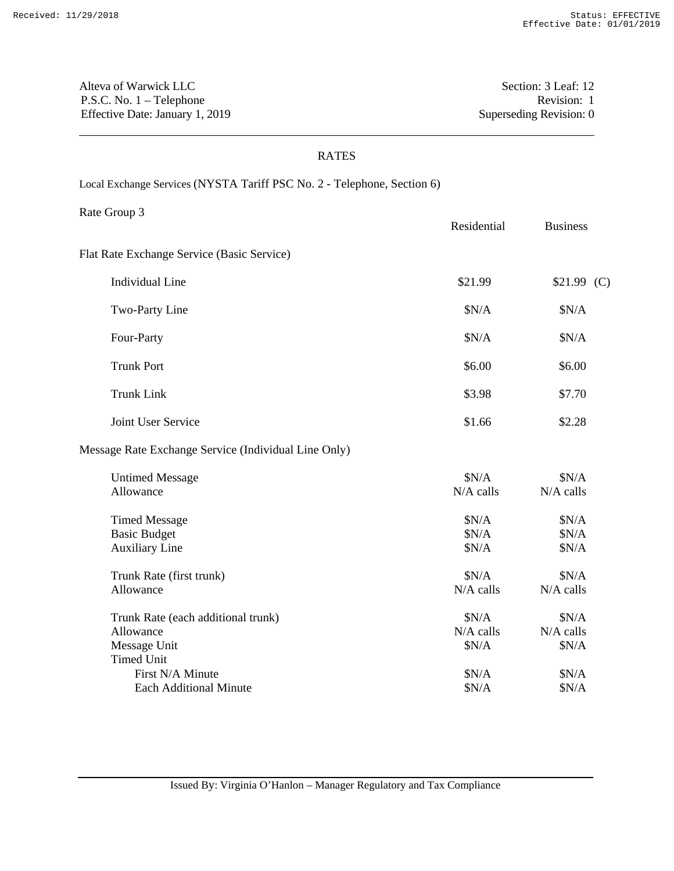Alteva of Warwick LLC Section: 3 Leaf: 12 P.S.C. No. 1 – Telephone Revision: 1 Effective Date: January 1, 2019 Superseding Revision: 0

#### RATES

Local Exchange Services (NYSTA Tariff PSC No. 2 - Telephone, Section 6)

Rate Group 3 Residential Business

Flat Rate Exchange Service (Basic Service)

| Individual Line   | \$21.99 | \$21.99(C) |
|-------------------|---------|------------|
| Two-Party Line    | \$N/A   | \$N/A      |
| Four-Party        | \$N/A   | \$N/A      |
| <b>Trunk Port</b> | \$6.00  | \$6.00     |
| Trunk Link        | \$3.98  | \$7.70     |

Joint User Service \$1.66 \$2.28

## Message Rate Exchange Service (Individual Line Only)

| <b>Untimed Message</b>             | \$N/A       | \$N/A       |
|------------------------------------|-------------|-------------|
| Allowance                          | $N/A$ calls | $N/A$ calls |
| <b>Timed Message</b>               | \$N/A       | \$N/A       |
| <b>Basic Budget</b>                | \$N/A       | \$N/A       |
| <b>Auxiliary Line</b>              | \$N/A       | \$N/A       |
| Trunk Rate (first trunk)           | \$N/A       | \$N/A       |
| Allowance                          | $N/A$ calls | $N/A$ calls |
| Trunk Rate (each additional trunk) | \$N/A       | \$N/A       |
| Allowance                          | $N/A$ calls | $N/A$ calls |
| Message Unit                       | \$N/A       | \$N/A       |
| <b>Timed Unit</b>                  |             |             |
| First N/A Minute                   | \$N/A       | \$N/A       |
| Each Additional Minute             | \$N/A       | \$N/A       |
|                                    |             |             |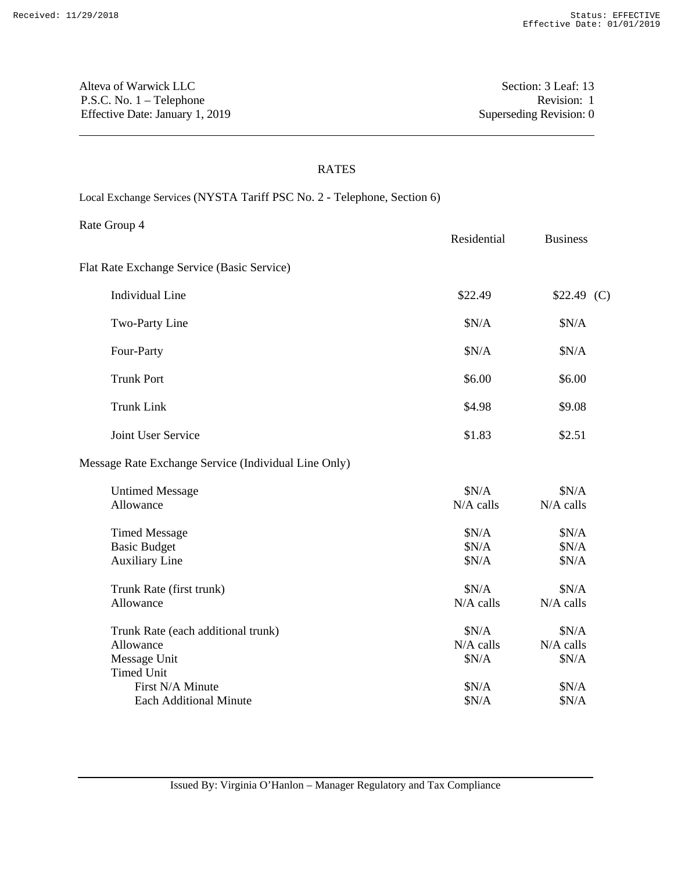Alteva of Warwick LLC Section: 3 Leaf: 13 P.S.C. No. 1 – Telephone Revision: 1 Effective Date: January 1, 2019 Superseding Revision: 0

## RATES

Local Exchange Services (NYSTA Tariff PSC No. 2 - Telephone, Section 6)

Rate Group 4

|                                                                                      | Residential                   | <b>Business</b>               |
|--------------------------------------------------------------------------------------|-------------------------------|-------------------------------|
| Flat Rate Exchange Service (Basic Service)                                           |                               |                               |
| <b>Individual Line</b>                                                               | \$22.49                       | $$22.49$ (C)                  |
| Two-Party Line                                                                       | \$N/A                         | \$N/A                         |
| Four-Party                                                                           | \$N/A                         | \$N/A                         |
| <b>Trunk Port</b>                                                                    | \$6.00                        | \$6.00                        |
| <b>Trunk Link</b>                                                                    | \$4.98                        | \$9.08                        |
| Joint User Service                                                                   | \$1.83                        | \$2.51                        |
| Message Rate Exchange Service (Individual Line Only)                                 |                               |                               |
| <b>Untimed Message</b><br>Allowance                                                  | \$N/A<br>N/A calls            | \$N/A<br>N/A calls            |
| <b>Timed Message</b><br><b>Basic Budget</b><br><b>Auxiliary Line</b>                 | \$N/A<br>\$N/A<br>\$N/A       | \$N/A<br>\$N/A<br>\$N/A       |
| Trunk Rate (first trunk)<br>Allowance                                                | \$N/A<br>$N/A$ calls          | \$N/A<br>$N/A$ calls          |
| Trunk Rate (each additional trunk)<br>Allowance<br>Message Unit<br><b>Timed Unit</b> | \$N/A<br>$N/A$ calls<br>\$N/A | \$N/A<br>$N/A$ calls<br>\$N/A |

First N/A Minute  $$N/A$  \$N/A \$N/A Each Additional Minute  $$N/A$  \$N/A \$N/A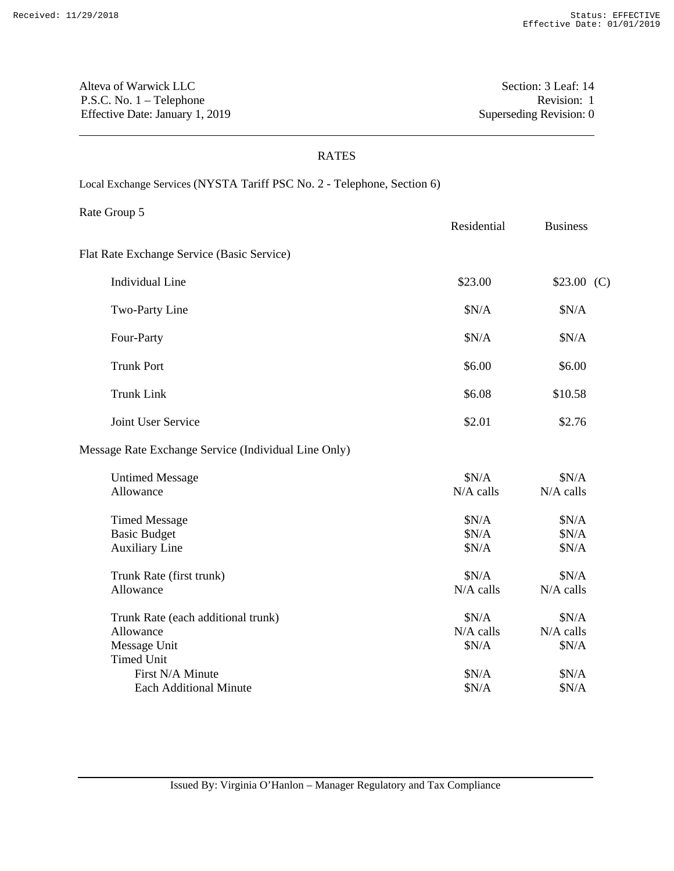Alteva of Warwick LLC Section: 3 Leaf: 14 P.S.C. No. 1 – Telephone Revision: 1 Effective Date: January 1, 2019 Superseding Revision: 0

Rate Group 5

#### RATES

Local Exchange Services (NYSTA Tariff PSC No. 2 - Telephone, Section 6)

Residential Business Flat Rate Exchange Service (Basic Service)

| Individual Line   | \$23.00 | \$23.00(C) |
|-------------------|---------|------------|
| Two-Party Line    | \$N/A   | \$N/A      |
| Four-Party        | \$N/A   | \$N/A      |
| <b>Trunk Port</b> | \$6.00  | \$6.00     |
| <b>Trunk Link</b> | \$6.08  | \$10.58    |

Joint User Service  $\qquad 2.76$ 

# Message Rate Exchange Service (Individual Line Only)

| <b>Untimed Message</b>             | \$N/A       | \$N/A       |
|------------------------------------|-------------|-------------|
| Allowance                          | $N/A$ calls | $N/A$ calls |
| <b>Timed Message</b>               | \$N/A       | \$N/A       |
| <b>Basic Budget</b>                | \$N/A       | \$N/A       |
| <b>Auxiliary Line</b>              | \$N/A       | \$N/A       |
| Trunk Rate (first trunk)           | \$N/A       | \$N/A       |
| Allowance                          | $N/A$ calls | $N/A$ calls |
| Trunk Rate (each additional trunk) | \$N/A       | \$N/A       |
| Allowance                          | $N/A$ calls | $N/A$ calls |
| Message Unit                       | \$N/A       | \$N/A       |
| <b>Timed Unit</b>                  |             |             |
| First N/A Minute                   | \$N/A       | \$N/A       |
| Each Additional Minute             | \$N/A       | \$N/A       |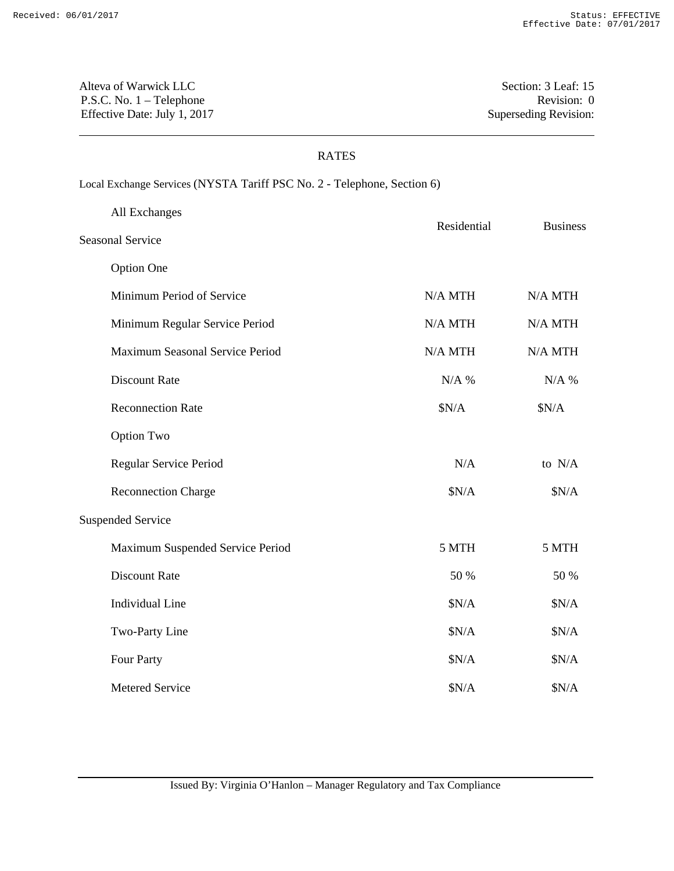Alteva of Warwick LLC Section: 3 Leaf: 15 P.S.C. No. 1 – Telephone Revision: 0 Effective Date: July 1, 2017 Superseding Revision:

## RATES

# Local Exchange Services (NYSTA Tariff PSC No. 2 - Telephone, Section 6)

|                         | All Exchanges                    | Residential | <b>Business</b> |
|-------------------------|----------------------------------|-------------|-----------------|
| <b>Seasonal Service</b> |                                  |             |                 |
|                         | <b>Option One</b>                |             |                 |
|                         | Minimum Period of Service        | N/A MTH     | $N/A$ MTH       |
|                         | Minimum Regular Service Period   | N/A MTH     | $N/A$ MTH       |
|                         | Maximum Seasonal Service Period  | N/A MTH     | $N/A$ MTH       |
|                         | <b>Discount Rate</b>             | $N/A$ %     | $N/A$ %         |
|                         | <b>Reconnection Rate</b>         | \$N/A       | \$N/A           |
|                         | <b>Option Two</b>                |             |                 |
|                         | Regular Service Period           | N/A         | to N/A          |
|                         | <b>Reconnection Charge</b>       | \$N/A       | \$N/A           |
|                         | <b>Suspended Service</b>         |             |                 |
|                         | Maximum Suspended Service Period | 5 MTH       | 5 MTH           |
|                         | <b>Discount Rate</b>             | 50 %        | 50 %            |
|                         | <b>Individual Line</b>           | \$N/A       | \$N/A           |
|                         | Two-Party Line                   | \$N/A       | \$N/A           |
|                         | Four Party                       | \$N/A       | \$N/A           |
|                         | Metered Service                  | \$N/A       | \$N/A           |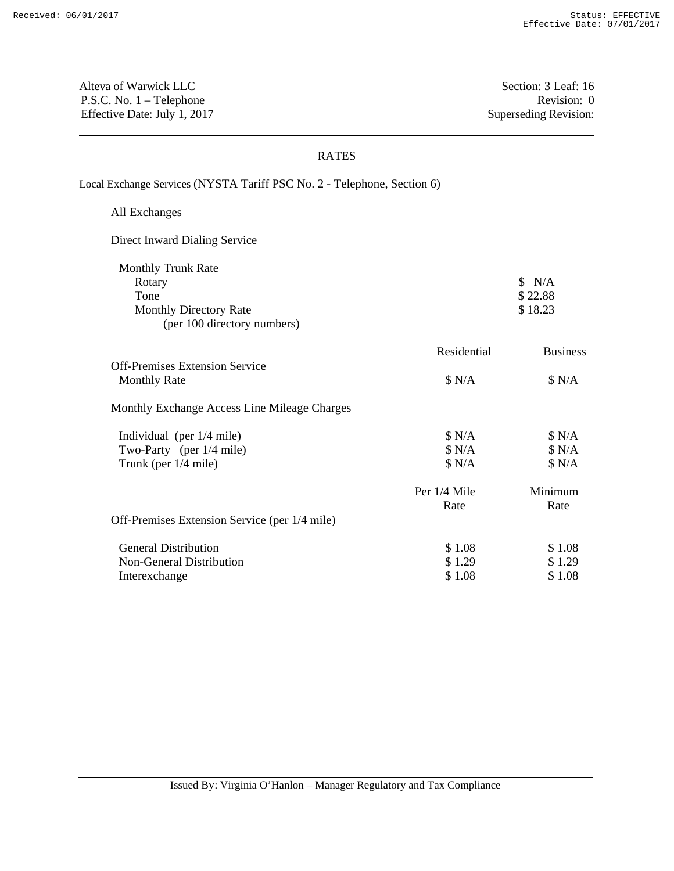Alteva of Warwick LLC Section: 3 Leaf: 16 P.S.C. No. 1 – Telephone Revision: 0 Effective Date: July 1, 2017 Superseding Revision:

## RATES

Local Exchange Services (NYSTA Tariff PSC No. 2 - Telephone, Section 6)

| All Exchanges                                 |              |                 |
|-----------------------------------------------|--------------|-----------------|
| Direct Inward Dialing Service                 |              |                 |
| <b>Monthly Trunk Rate</b>                     |              |                 |
| Rotary                                        |              | N/A             |
| Tone                                          |              | \$22.88         |
| <b>Monthly Directory Rate</b>                 |              | \$18.23         |
| (per 100 directory numbers)                   |              |                 |
|                                               | Residential  | <b>Business</b> |
| <b>Off-Premises Extension Service</b>         |              |                 |
| <b>Monthly Rate</b>                           | \$ N/A       | \$ N/A          |
| Monthly Exchange Access Line Mileage Charges  |              |                 |
| Individual (per $1/4$ mile)                   | \$ N/A       | \$ N/A          |
| Two-Party (per 1/4 mile)                      | \$ N/A       | \$ N/A          |
| Trunk (per $1/4$ mile)                        | \$ N/A       | \$ N/A          |
|                                               | Per 1/4 Mile | Minimum         |
|                                               | Rate         | Rate            |
| Off-Premises Extension Service (per 1/4 mile) |              |                 |
| <b>General Distribution</b>                   | \$1.08       | \$1.08          |
| Non-General Distribution                      | \$1.29       | \$1.29          |
| Interexchange                                 | \$1.08       | \$1.08          |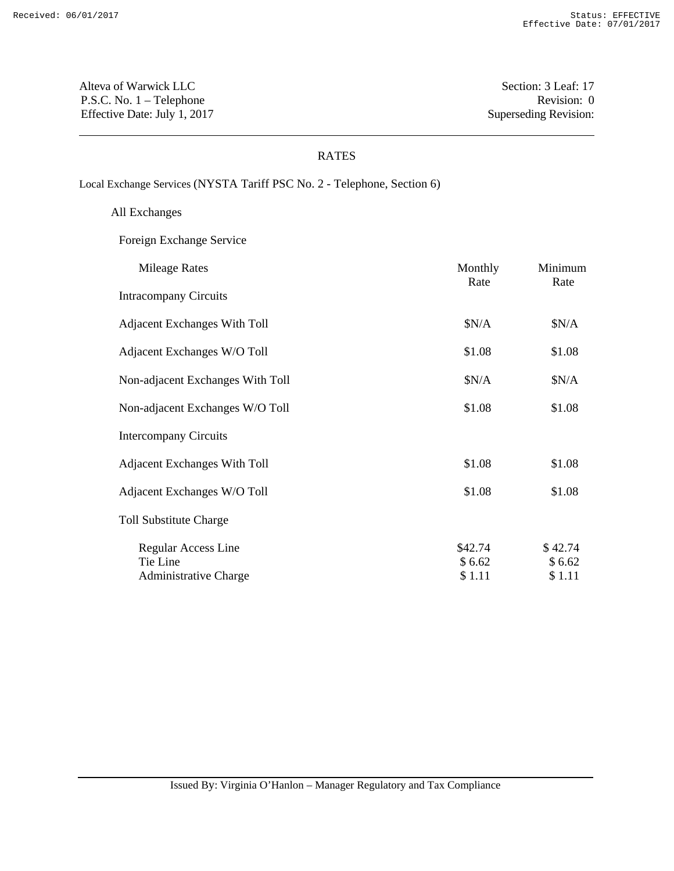Alteva of Warwick LLC Section: 3 Leaf: 17 P.S.C. No. 1 – Telephone Revision: 0 Effective Date: July 1, 2017 Superseding Revision:

### RATES

Local Exchange Services (NYSTA Tariff PSC No. 2 - Telephone, Section 6)

All Exchanges

Foreign Exchange Service

| <b>Mileage Rates</b>                                            | Monthly<br>Rate             | Minimum<br>Rate             |
|-----------------------------------------------------------------|-----------------------------|-----------------------------|
| <b>Intracompany Circuits</b>                                    |                             |                             |
| <b>Adjacent Exchanges With Toll</b>                             | \$N/A                       | \$N/A                       |
| Adjacent Exchanges W/O Toll                                     | \$1.08                      | \$1.08                      |
| Non-adjacent Exchanges With Toll                                | \$N/A                       | \$N/A                       |
| Non-adjacent Exchanges W/O Toll                                 | \$1.08                      | \$1.08                      |
| <b>Intercompany Circuits</b>                                    |                             |                             |
| <b>Adjacent Exchanges With Toll</b>                             | \$1.08                      | \$1.08                      |
| Adjacent Exchanges W/O Toll                                     | \$1.08                      | \$1.08                      |
| <b>Toll Substitute Charge</b>                                   |                             |                             |
| Regular Access Line<br>Tie Line<br><b>Administrative Charge</b> | \$42.74<br>\$6.62<br>\$1.11 | \$42.74<br>\$6.62<br>\$1.11 |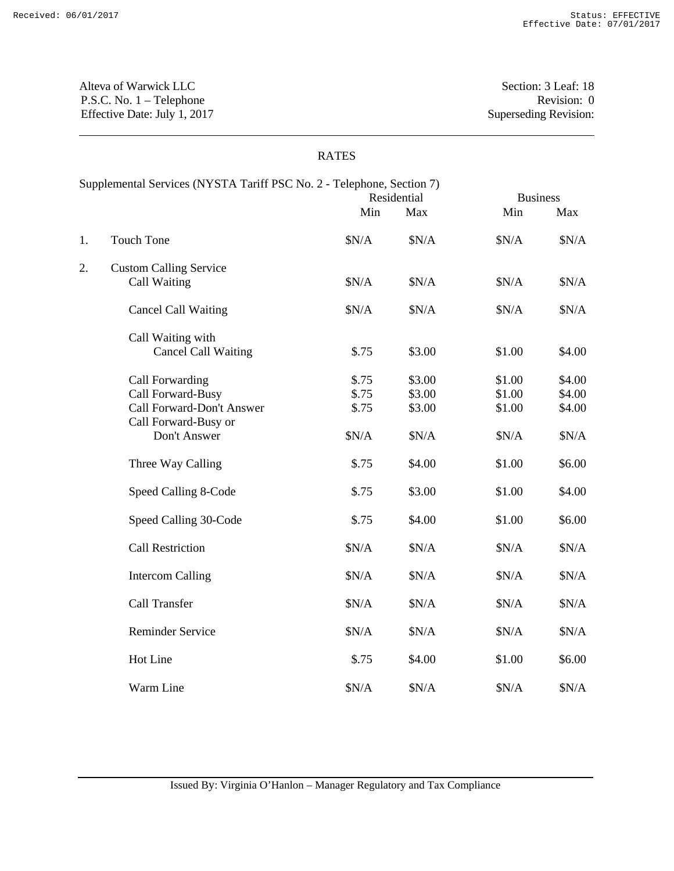Alteva of Warwick LLC Section: 3 Leaf: 18 P.S.C. No. 1 – Telephone Revision: 0 Effective Date: July 1, 2017 Superseding Revision:

## RATES

| Supplemental Services (NYSTA Tariff PSC No. 2 - Telephone, Section 7) |                               |       | Residential | <b>Business</b> |        |
|-----------------------------------------------------------------------|-------------------------------|-------|-------------|-----------------|--------|
|                                                                       |                               | Min   | Max         | Min             | Max    |
| 1.                                                                    | <b>Touch Tone</b>             | \$N/A | \$N/A       | \$N/A           | \$N/A  |
| 2.                                                                    | <b>Custom Calling Service</b> |       |             |                 |        |
|                                                                       | Call Waiting                  | \$N/A | \$N/A       | \$N/A           | \$N/A  |
|                                                                       | <b>Cancel Call Waiting</b>    | \$N/A | \$N/A       | \$N/A           | \$N/A  |
|                                                                       | Call Waiting with             |       |             |                 |        |
|                                                                       | <b>Cancel Call Waiting</b>    | \$.75 | \$3.00      | \$1.00          | \$4.00 |
|                                                                       | Call Forwarding               | \$.75 | \$3.00      | \$1.00          | \$4.00 |
|                                                                       | Call Forward-Busy             | \$.75 | \$3.00      | \$1.00          | \$4.00 |
|                                                                       | Call Forward-Don't Answer     | \$.75 | \$3.00      | \$1.00          | \$4.00 |
|                                                                       | Call Forward-Busy or          |       |             |                 |        |
|                                                                       | Don't Answer                  | \$N/A | \$N/A       | \$N/A           | N/A    |
|                                                                       | Three Way Calling             | \$.75 | \$4.00      | \$1.00          | \$6.00 |
|                                                                       | Speed Calling 8-Code          | \$.75 | \$3.00      | \$1.00          | \$4.00 |
|                                                                       | Speed Calling 30-Code         | \$.75 | \$4.00      | \$1.00          | \$6.00 |
|                                                                       | <b>Call Restriction</b>       | \$N/A | \$N/A       | \$N/A           | N/A    |
|                                                                       | <b>Intercom Calling</b>       | \$N/A | \$N/A       | \$N/A           | N/A    |
|                                                                       | Call Transfer                 | \$N/A | \$N/A       | \$N/A           | N/A    |
|                                                                       | <b>Reminder Service</b>       | \$N/A | N/A         | \$N/A           | N/A    |
|                                                                       | Hot Line                      | \$.75 | \$4.00      | \$1.00          | \$6.00 |
|                                                                       | Warm Line                     | \$N/A | \$N/A       | \$N/A           | \$N/A  |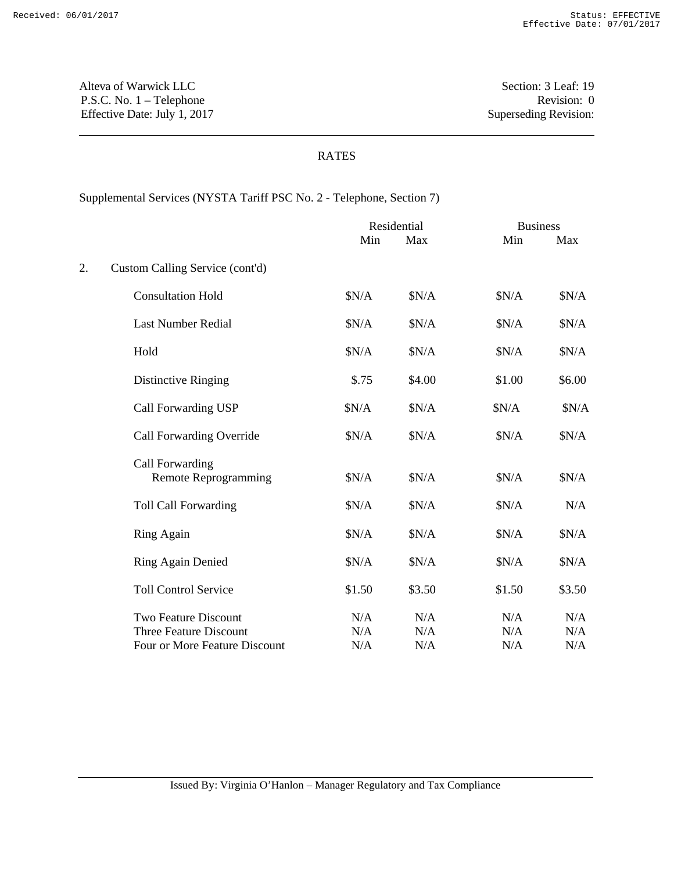Alteva of Warwick LLC Section: 3 Leaf: 19 P.S.C. No. 1 – Telephone Revision: 0 Effective Date: July 1, 2017 Superseding Revision:

### RATES

# Supplemental Services (NYSTA Tariff PSC No. 2 - Telephone, Section 7)

|    |                                                              | Residential |            | <b>Business</b> |            |  |
|----|--------------------------------------------------------------|-------------|------------|-----------------|------------|--|
|    |                                                              | Min         | Max        | Min             | Max        |  |
| 2. | Custom Calling Service (cont'd)                              |             |            |                 |            |  |
|    | <b>Consultation Hold</b>                                     | \$N/A       | \$N/A      | \$N/A           | \$N/A      |  |
|    | <b>Last Number Redial</b>                                    | \$N/A       | \$N/A      | \$N/A           | \$N/A      |  |
|    | Hold                                                         | \$N/A       | \$N/A      | \$N/A           | \$N/A      |  |
|    | Distinctive Ringing                                          | \$.75       | \$4.00     | \$1.00          | \$6.00     |  |
|    | Call Forwarding USP                                          | \$N/A       | \$N/A      | \$N/A           | \$N/A      |  |
|    | Call Forwarding Override                                     | \$N/A       | \$N/A      | \$N/A           | \$N/A      |  |
|    | Call Forwarding<br><b>Remote Reprogramming</b>               | \$N/A       | \$N/A      | \$N/A           | \$N/A      |  |
|    | <b>Toll Call Forwarding</b>                                  | \$N/A       | \$N/A      | \$N/A           | N/A        |  |
|    | Ring Again                                                   | \$N/A       | \$N/A      | \$N/A           | \$N/A      |  |
|    | <b>Ring Again Denied</b>                                     | \$N/A       | \$N/A      | \$N/A           | \$N/A      |  |
|    | <b>Toll Control Service</b>                                  | \$1.50      | \$3.50     | \$1.50          | \$3.50     |  |
|    | <b>Two Feature Discount</b><br><b>Three Feature Discount</b> | N/A<br>N/A  | N/A<br>N/A | N/A<br>N/A      | N/A<br>N/A |  |
|    | Four or More Feature Discount                                | N/A         | N/A        | N/A             | N/A        |  |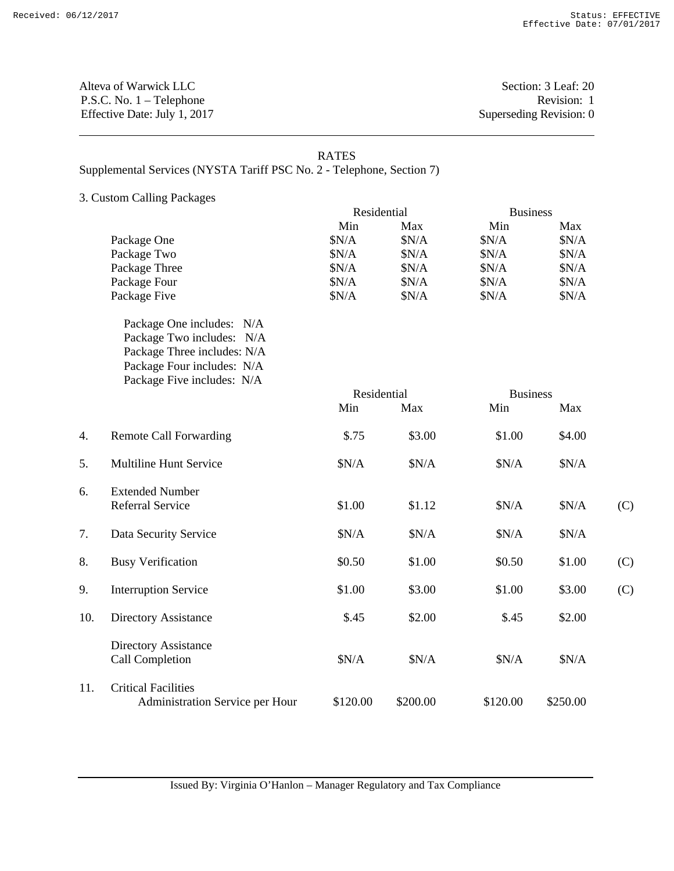Alteva of Warwick LLC Section: 3 Leaf: 20 P.S.C. No. 1 – Telephone Revision: 1 Effective Date: July 1, 2017 Superseding Revision: 0

#### RATES

Supplemental Services (NYSTA Tariff PSC No. 2 - Telephone, Section 7)

3. Custom Calling Packages

|                  |                                 | Residential |          | <b>Business</b> |          |     |
|------------------|---------------------------------|-------------|----------|-----------------|----------|-----|
|                  |                                 | Min         | Max      | Min             | Max      |     |
|                  | Package One                     | \$N/A       | \$N/A    | \$N/A           | \$N/A    |     |
|                  | Package Two                     | \$N/A       | \$N/A    | \$N/A           | \$N/A    |     |
|                  | Package Three                   | \$N/A       | \$N/A    | \$N/A           | \$N/A    |     |
|                  | Package Four                    | \$N/A       | \$N/A    | \$N/A           | \$N/A    |     |
|                  | Package Five                    | \$N/A       | \$N/A    | \$N/A           | \$N/A    |     |
|                  | Package One includes: N/A       |             |          |                 |          |     |
|                  | Package Two includes: N/A       |             |          |                 |          |     |
|                  | Package Three includes: N/A     |             |          |                 |          |     |
|                  | Package Four includes: N/A      |             |          |                 |          |     |
|                  | Package Five includes: N/A      |             |          |                 |          |     |
|                  |                                 | Residential |          | <b>Business</b> |          |     |
|                  |                                 | Min         | Max      | Min             | Max      |     |
| $\overline{4}$ . | <b>Remote Call Forwarding</b>   | \$.75       | \$3.00   | \$1.00          | \$4.00   |     |
| 5.               | Multiline Hunt Service          | \$N/A       | \$N/A    | \$N/A           | \$N/A    |     |
| 6.               | <b>Extended Number</b>          |             |          |                 |          |     |
|                  | <b>Referral Service</b>         | \$1.00      | \$1.12   | \$N/A           | \$N/A    | (C) |
| 7.               | Data Security Service           | \$N/A       | \$N/A    | \$N/A           | \$N/A    |     |
| 8.               | <b>Busy Verification</b>        | \$0.50      | \$1.00   | \$0.50          | \$1.00   | (C) |
| 9.               | <b>Interruption Service</b>     | \$1.00      | \$3.00   | \$1.00          | \$3.00   | (C) |
| 10.              | Directory Assistance            | \$.45       | \$2.00   | \$.45           | \$2.00   |     |
|                  | Directory Assistance            |             |          |                 |          |     |
|                  | Call Completion                 | \$N/A       | \$N/A    | \$N/A           | \$N/A    |     |
| 11.              | <b>Critical Facilities</b>      |             |          |                 |          |     |
|                  | Administration Service per Hour | \$120.00    | \$200.00 | \$120.00        | \$250.00 |     |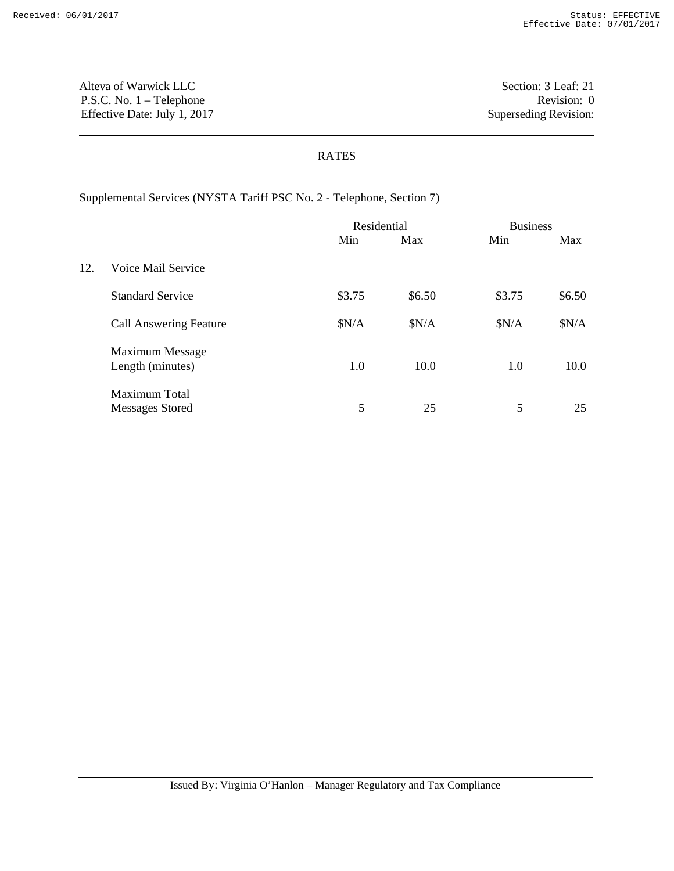Alteva of Warwick LLC Section: 3 Leaf: 21 P.S.C. No. 1 – Telephone Revision: 0 Effective Date: July 1, 2017 Superseding Revision:

## RATES

Supplemental Services (NYSTA Tariff PSC No. 2 - Telephone, Section 7)

|     |                                            | Residential |        |        | <b>Business</b> |  |
|-----|--------------------------------------------|-------------|--------|--------|-----------------|--|
|     |                                            | Min         | Max    | Min    | Max             |  |
| 12. | Voice Mail Service                         |             |        |        |                 |  |
|     | <b>Standard Service</b>                    | \$3.75      | \$6.50 | \$3.75 | \$6.50          |  |
|     | <b>Call Answering Feature</b>              | \$N/A       | \$N/A  | \$N/A  | \$N/A           |  |
|     | <b>Maximum Message</b><br>Length (minutes) | 1.0         | 10.0   | 1.0    | 10.0            |  |
|     | Maximum Total<br>Messages Stored           | 5           | 25     | 5      | 25              |  |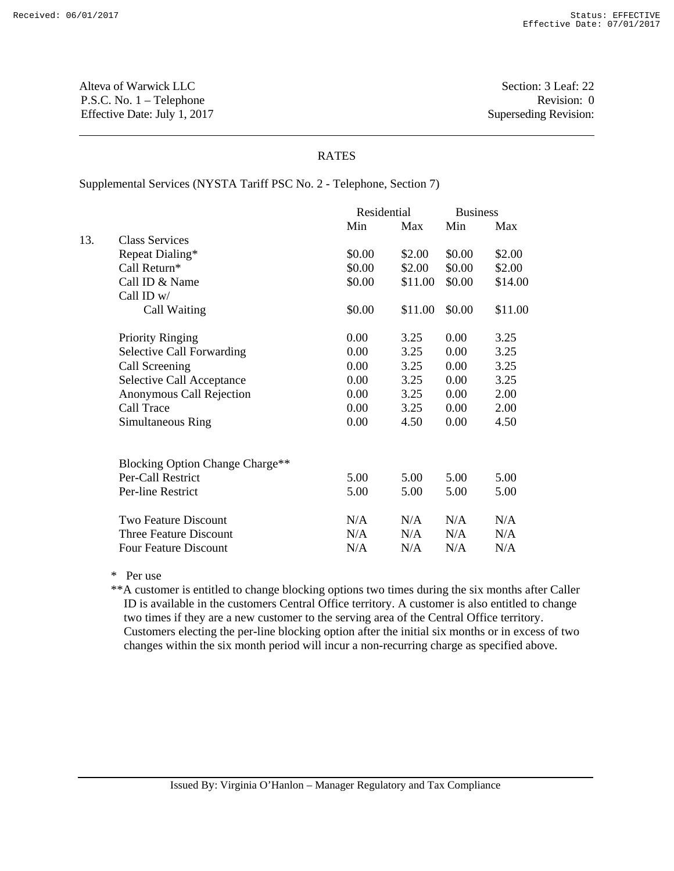Alteva of Warwick LLC Section: 3 Leaf: 22 P.S.C. No. 1 – Telephone Revision: 0 Effective Date: July 1, 2017 Superseding Revision:

### RATES

Supplemental Services (NYSTA Tariff PSC No. 2 - Telephone, Section 7)

|     |                                  | Residential |         | <b>Business</b> |         |
|-----|----------------------------------|-------------|---------|-----------------|---------|
|     |                                  | Min         | Max     | Min             | Max     |
| 13. | <b>Class Services</b>            |             |         |                 |         |
|     | Repeat Dialing*                  | \$0.00      | \$2.00  | \$0.00          | \$2.00  |
|     | Call Return*                     | \$0.00      | \$2.00  | \$0.00          | \$2.00  |
|     | Call ID & Name                   | \$0.00      | \$11.00 | \$0.00          | \$14.00 |
|     | Call ID w/                       |             |         |                 |         |
|     | Call Waiting                     | \$0.00      | \$11.00 | \$0.00          | \$11.00 |
|     | <b>Priority Ringing</b>          | 0.00        | 3.25    | 0.00            | 3.25    |
|     | <b>Selective Call Forwarding</b> | 0.00        | 3.25    | 0.00            | 3.25    |
|     | Call Screening                   | 0.00        | 3.25    | 0.00            | 3.25    |
|     | <b>Selective Call Acceptance</b> | 0.00        | 3.25    | 0.00            | 3.25    |
|     | Anonymous Call Rejection         | 0.00        | 3.25    | 0.00            | 2.00    |
|     | Call Trace                       | 0.00        | 3.25    | 0.00            | 2.00    |
|     | Simultaneous Ring                | 0.00        | 4.50    | 0.00            | 4.50    |
|     | Blocking Option Change Charge**  |             |         |                 |         |
|     | Per-Call Restrict                | 5.00        | 5.00    | 5.00            | 5.00    |
|     | Per-line Restrict                | 5.00        | 5.00    | 5.00            | 5.00    |
|     | <b>Two Feature Discount</b>      | N/A         | N/A     | N/A             | N/A     |
|     | Three Feature Discount           | N/A         | N/A     | N/A             | N/A     |
|     | <b>Four Feature Discount</b>     | N/A         | N/A     | N/A             | N/A     |

\* Per use

\*\*A customer is entitled to change blocking options two times during the six months after Caller ID is available in the customers Central Office territory. A customer is also entitled to change two times if they are a new customer to the serving area of the Central Office territory. Customers electing the per-line blocking option after the initial six months or in excess of two changes within the six month period will incur a non-recurring charge as specified above.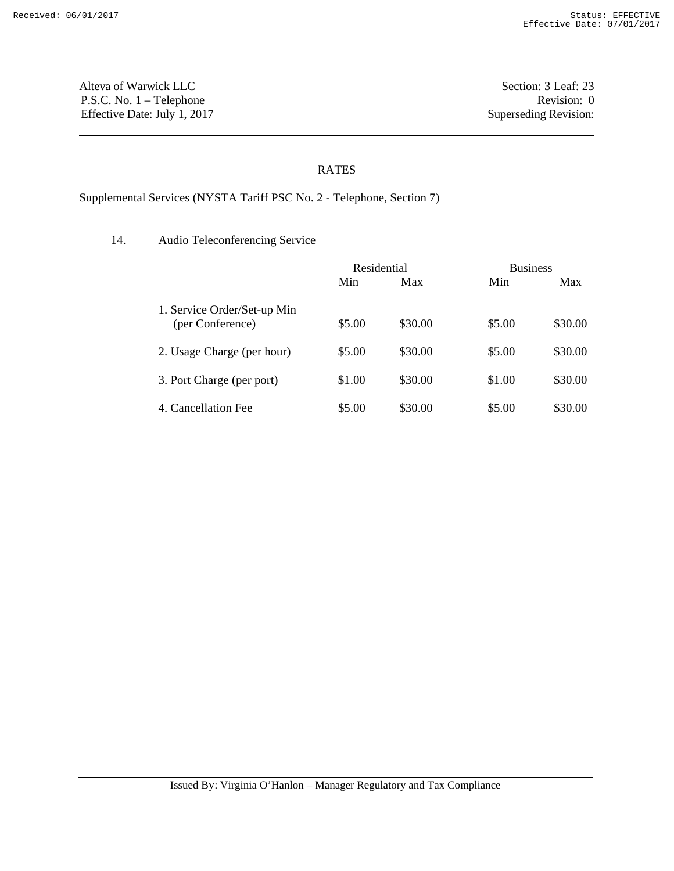Alteva of Warwick LLC Section: 3 Leaf: 23 P.S.C. No. 1 – Telephone Revision: 0 Effective Date: July 1, 2017 Superseding Revision:

# RATES

Supplemental Services (NYSTA Tariff PSC No. 2 - Telephone, Section 7)

14. Audio Teleconferencing Service

|                                                 | Residential |         | <b>Business</b> |         |
|-------------------------------------------------|-------------|---------|-----------------|---------|
|                                                 | Min         | Max     | Min             | Max     |
| 1. Service Order/Set-up Min<br>(per Conference) | \$5.00      | \$30.00 | \$5.00          | \$30.00 |
| 2. Usage Charge (per hour)                      | \$5.00      | \$30.00 | \$5.00          | \$30.00 |
| 3. Port Charge (per port)                       | \$1.00      | \$30.00 | \$1.00          | \$30.00 |
| 4. Cancellation Fee                             | \$5.00      | \$30.00 | \$5.00          | \$30.00 |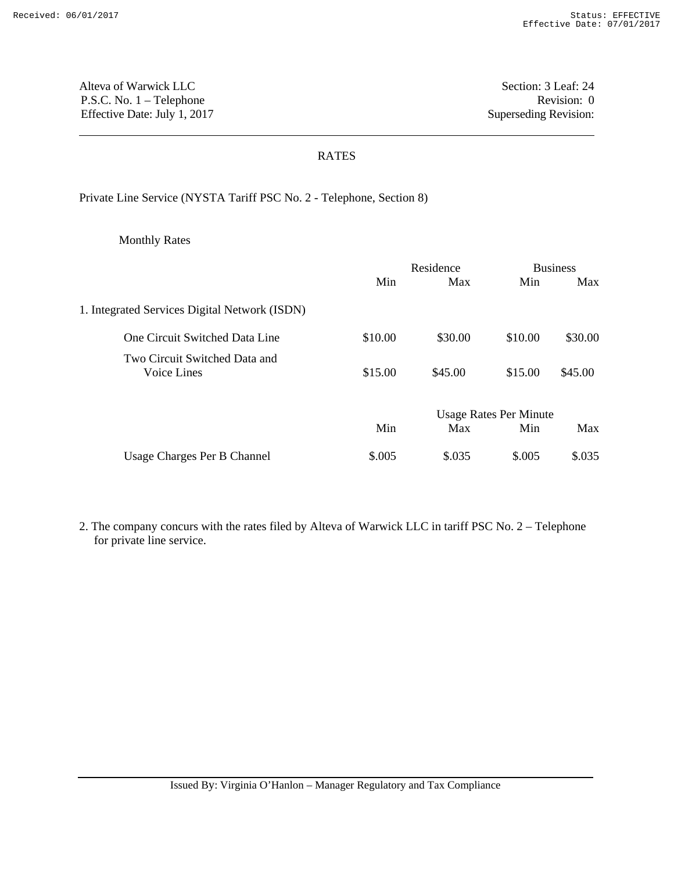Alteva of Warwick LLC Section: 3 Leaf: 24 P.S.C. No. 1 – Telephone Revision: 0 Effective Date: July 1, 2017 Superseding Revision:

### RATES

Private Line Service (NYSTA Tariff PSC No. 2 - Telephone, Section 8)

Monthly Rates

|                                               |         | Residence |                               | <b>Business</b> |  |
|-----------------------------------------------|---------|-----------|-------------------------------|-----------------|--|
|                                               | Min     | Max       | Min                           | Max             |  |
| 1. Integrated Services Digital Network (ISDN) |         |           |                               |                 |  |
| One Circuit Switched Data Line                | \$10.00 | \$30.00   | \$10.00                       | \$30.00         |  |
| Two Circuit Switched Data and<br>Voice Lines  | \$15.00 | \$45.00   | \$15.00                       | \$45.00         |  |
|                                               |         |           | <b>Usage Rates Per Minute</b> |                 |  |
|                                               | Min     | Max       | Min                           | Max             |  |
| Usage Charges Per B Channel                   | \$.005  | \$.035    | \$.005                        | \$.035          |  |

2. The company concurs with the rates filed by Alteva of Warwick LLC in tariff PSC No. 2 – Telephone for private line service.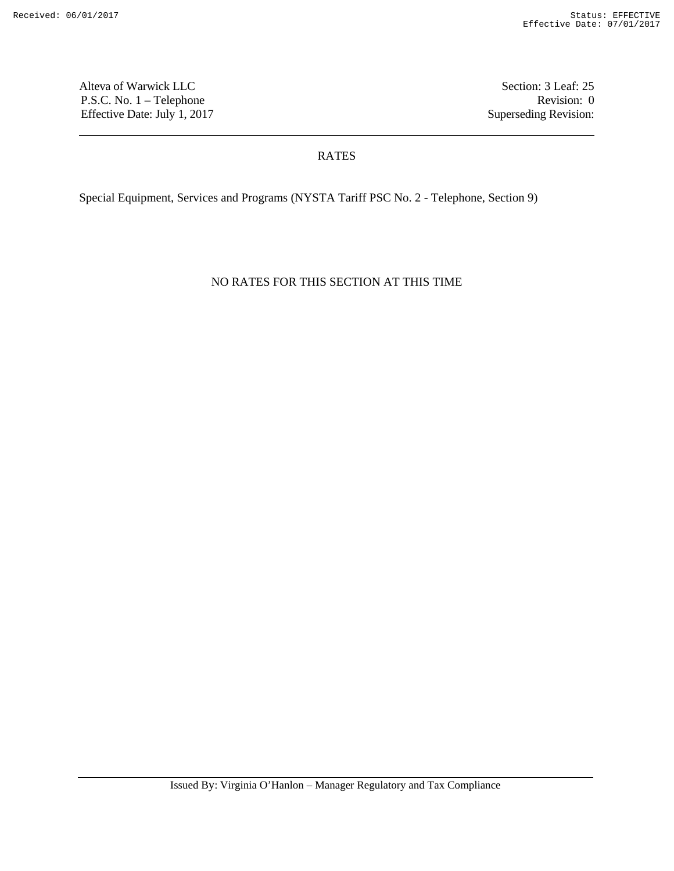Alteva of Warwick LLC Section: 3 Leaf: 25 P.S.C. No. 1 – Telephone Revision: 0 Effective Date: July 1, 2017 Superseding Revision:

### RATES

Special Equipment, Services and Programs (NYSTA Tariff PSC No. 2 - Telephone, Section 9)

NO RATES FOR THIS SECTION AT THIS TIME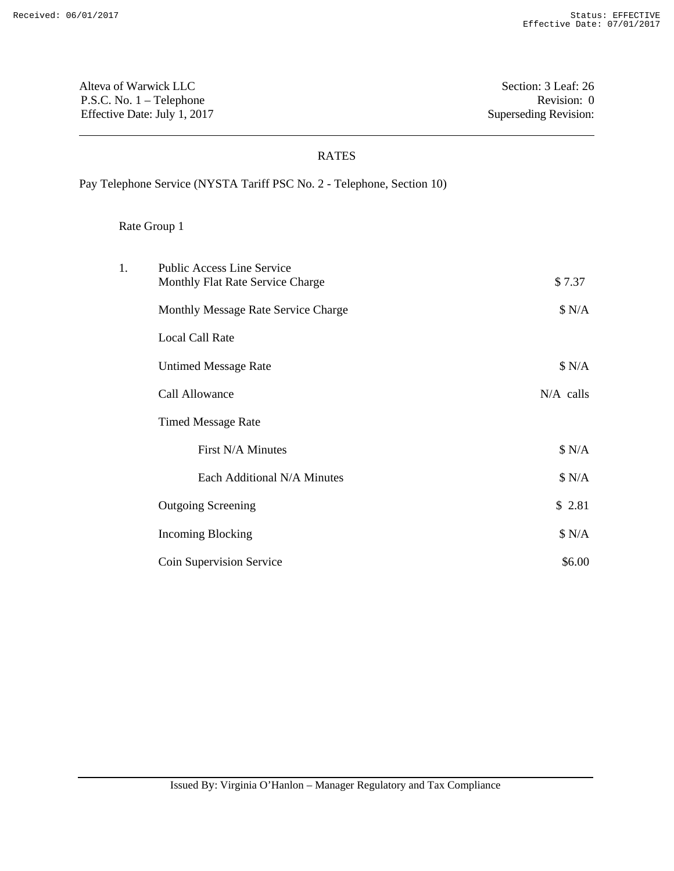Alteva of Warwick LLC Section: 3 Leaf: 26 P.S.C. No. 1 – Telephone Revision: 0 Effective Date: July 1, 2017 Superseding Revision:

## RATES

Pay Telephone Service (NYSTA Tariff PSC No. 2 - Telephone, Section 10)

| 1. | <b>Public Access Line Service</b><br>Monthly Flat Rate Service Charge | \$7.37      |
|----|-----------------------------------------------------------------------|-------------|
|    | Monthly Message Rate Service Charge                                   | \$ N/A      |
|    | <b>Local Call Rate</b>                                                |             |
|    | <b>Untimed Message Rate</b>                                           | \$ N/A      |
|    | Call Allowance                                                        | $N/A$ calls |
|    | <b>Timed Message Rate</b>                                             |             |
|    | First N/A Minutes                                                     | \$ N/A      |
|    | Each Additional N/A Minutes                                           | \$ N/A      |
|    | <b>Outgoing Screening</b>                                             | \$2.81      |
|    | Incoming Blocking                                                     | \$ N/A      |
|    | Coin Supervision Service                                              | \$6.00      |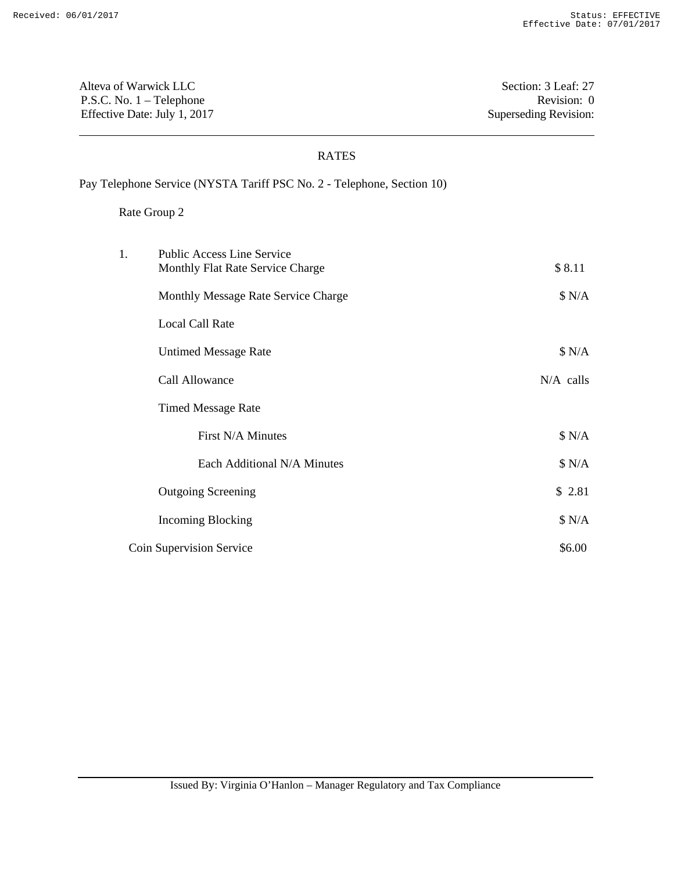Alteva of Warwick LLC Section: 3 Leaf: 27 P.S.C. No. 1 – Telephone Revision: 0 Effective Date: July 1, 2017 Superseding Revision:

### RATES

Pay Telephone Service (NYSTA Tariff PSC No. 2 - Telephone, Section 10)

| 1. | <b>Public Access Line Service</b><br>Monthly Flat Rate Service Charge | \$8.11      |
|----|-----------------------------------------------------------------------|-------------|
|    | Monthly Message Rate Service Charge                                   | \$ N/A      |
|    | <b>Local Call Rate</b>                                                |             |
|    | <b>Untimed Message Rate</b>                                           | \$ N/A      |
|    | Call Allowance                                                        | $N/A$ calls |
|    | <b>Timed Message Rate</b>                                             |             |
|    | First N/A Minutes                                                     | \$ N/A      |
|    | Each Additional N/A Minutes                                           | \$ N/A      |
|    | <b>Outgoing Screening</b>                                             | \$2.81      |
|    | <b>Incoming Blocking</b>                                              | \$ N/A      |
|    | Coin Supervision Service                                              | \$6.00      |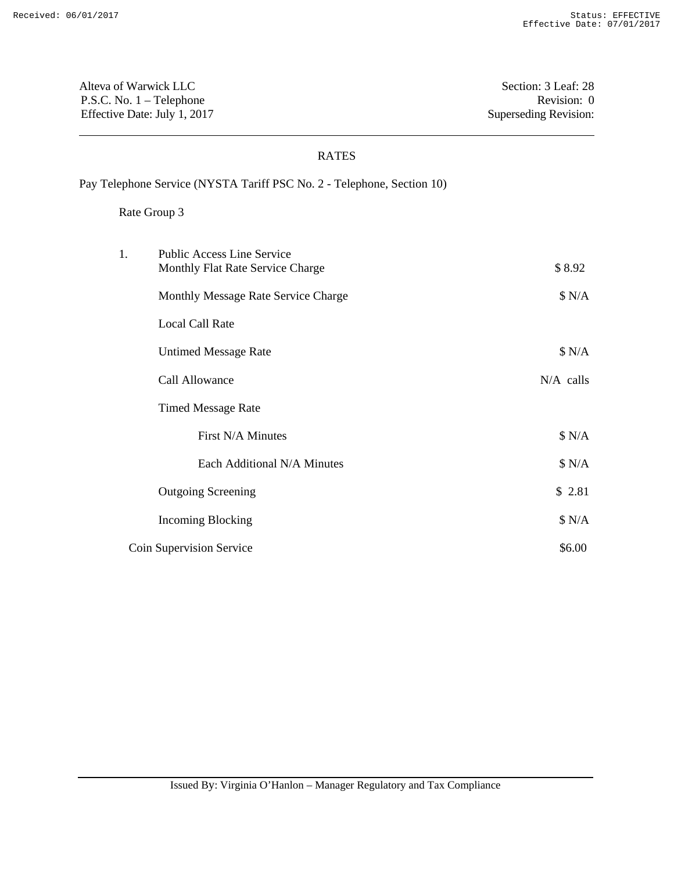Alteva of Warwick LLC Section: 3 Leaf: 28 P.S.C. No. 1 – Telephone Revision: 0 Effective Date: July 1, 2017 Superseding Revision:

## RATES

Pay Telephone Service (NYSTA Tariff PSC No. 2 - Telephone, Section 10)

| 1. | <b>Public Access Line Service</b><br>Monthly Flat Rate Service Charge | \$8.92    |
|----|-----------------------------------------------------------------------|-----------|
|    | Monthly Message Rate Service Charge                                   | \$ N/A    |
|    | <b>Local Call Rate</b>                                                |           |
|    | <b>Untimed Message Rate</b>                                           | \$ N/A    |
|    | Call Allowance                                                        | N/A calls |
|    | <b>Timed Message Rate</b>                                             |           |
|    | First N/A Minutes                                                     | \$ N/A    |
|    | Each Additional N/A Minutes                                           | \$ N/A    |
|    | <b>Outgoing Screening</b>                                             | \$2.81    |
|    | <b>Incoming Blocking</b>                                              | \$ N/A    |
|    | Coin Supervision Service                                              | \$6.00    |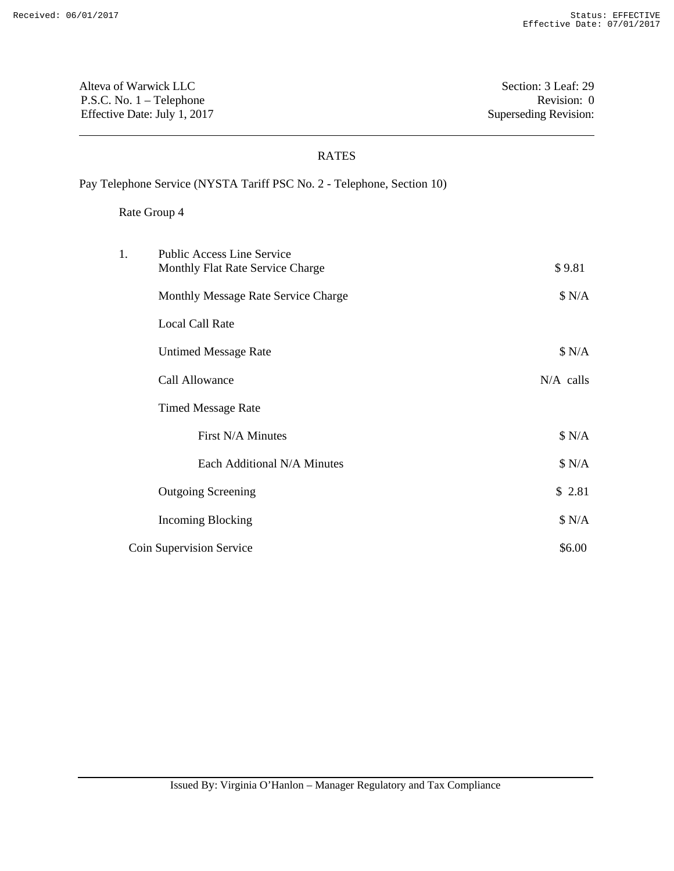Alteva of Warwick LLC Section: 3 Leaf: 29 P.S.C. No. 1 – Telephone Revision: 0 Effective Date: July 1, 2017 Superseding Revision:

### RATES

Pay Telephone Service (NYSTA Tariff PSC No. 2 - Telephone, Section 10)

| 1. | <b>Public Access Line Service</b><br>Monthly Flat Rate Service Charge | \$9.81      |
|----|-----------------------------------------------------------------------|-------------|
|    | Monthly Message Rate Service Charge                                   | \$ N/A      |
|    | <b>Local Call Rate</b>                                                |             |
|    | <b>Untimed Message Rate</b>                                           | \$ N/A      |
|    | Call Allowance                                                        | $N/A$ calls |
|    | <b>Timed Message Rate</b>                                             |             |
|    | First N/A Minutes                                                     | \$ N/A      |
|    | Each Additional N/A Minutes                                           | \$ N/A      |
|    | <b>Outgoing Screening</b>                                             | \$2.81      |
|    | <b>Incoming Blocking</b>                                              | \$ N/A      |
|    | Coin Supervision Service                                              | \$6.00      |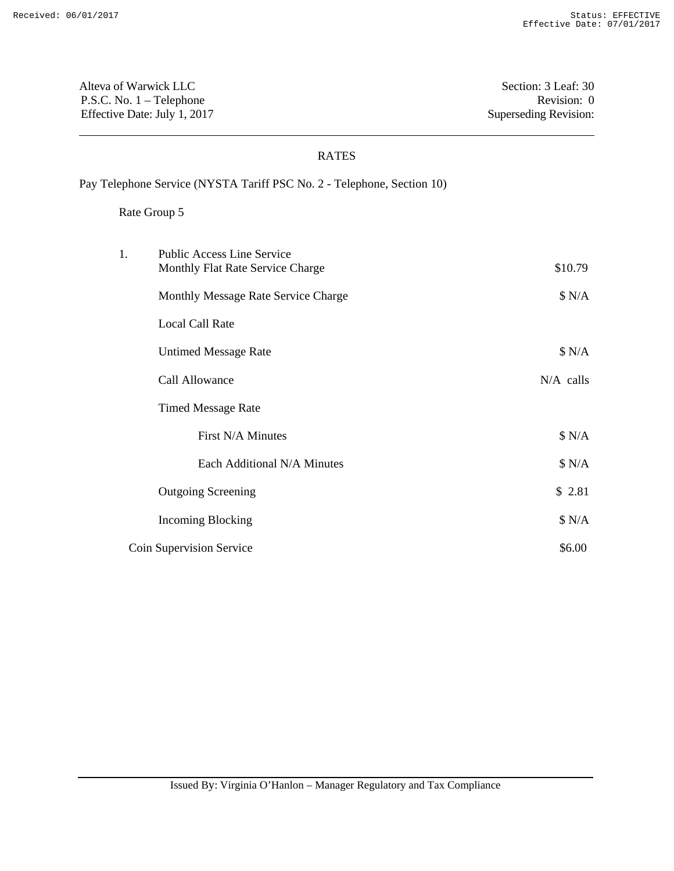Alteva of Warwick LLC Section: 3 Leaf: 30 P.S.C. No. 1 – Telephone Revision: 0 Effective Date: July 1, 2017 Superseding Revision:

### RATES

Pay Telephone Service (NYSTA Tariff PSC No. 2 - Telephone, Section 10)

| 1. | <b>Public Access Line Service</b><br>Monthly Flat Rate Service Charge | \$10.79     |
|----|-----------------------------------------------------------------------|-------------|
|    | Monthly Message Rate Service Charge                                   | \$ N/A      |
|    | <b>Local Call Rate</b>                                                |             |
|    | <b>Untimed Message Rate</b>                                           | \$ N/A      |
|    | Call Allowance                                                        | $N/A$ calls |
|    | <b>Timed Message Rate</b>                                             |             |
|    | First N/A Minutes                                                     | \$ N/A      |
|    | Each Additional N/A Minutes                                           | \$ N/A      |
|    | <b>Outgoing Screening</b>                                             | \$2.81      |
|    | <b>Incoming Blocking</b>                                              | \$ N/A      |
|    | Coin Supervision Service                                              | \$6.00      |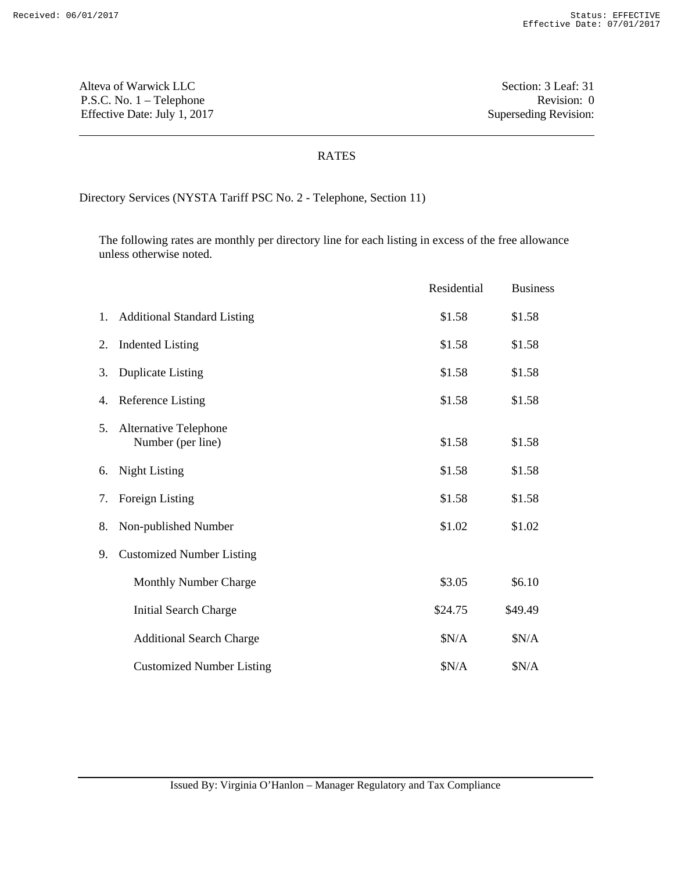Alteva of Warwick LLC Section: 3 Leaf: 31 P.S.C. No. 1 – Telephone Revision: 0 Effective Date: July 1, 2017 Superseding Revision:

## RATES

Directory Services (NYSTA Tariff PSC No. 2 - Telephone, Section 11)

The following rates are monthly per directory line for each listing in excess of the free allowance unless otherwise noted.

|    |                                            | Residential | <b>Business</b> |
|----|--------------------------------------------|-------------|-----------------|
| 1. | <b>Additional Standard Listing</b>         | \$1.58      | \$1.58          |
| 2. | <b>Indented Listing</b>                    | \$1.58      | \$1.58          |
| 3. | <b>Duplicate Listing</b>                   | \$1.58      | \$1.58          |
| 4. | <b>Reference Listing</b>                   | \$1.58      | \$1.58          |
| 5. | Alternative Telephone<br>Number (per line) | \$1.58      | \$1.58          |
| 6. | <b>Night Listing</b>                       | \$1.58      | \$1.58          |
| 7. | Foreign Listing                            | \$1.58      | \$1.58          |
| 8. | Non-published Number                       | \$1.02      | \$1.02          |
| 9. | <b>Customized Number Listing</b>           |             |                 |
|    | <b>Monthly Number Charge</b>               | \$3.05      | \$6.10          |
|    | <b>Initial Search Charge</b>               | \$24.75     | \$49.49         |
|    | <b>Additional Search Charge</b>            | \$N/A       | \$N/A           |
|    | <b>Customized Number Listing</b>           | \$N/A       | \$N/A           |